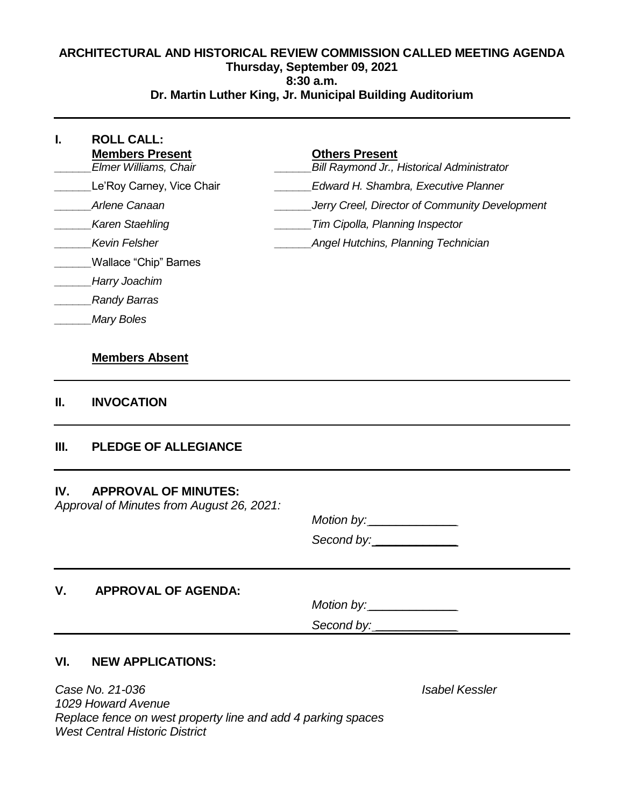#### **ARCHITECTURAL AND HISTORICAL REVIEW COMMISSION CALLED MEETING AGENDA Thursday, September 09, 2021 8:30 a.m. Dr. Martin Luther King, Jr. Municipal Building Auditorium**

| Le'Roy Carney, Vice Chair<br><b>Edward H. Shambra, Executive Planner</b><br>Arlene Canaan<br>Jerry Creel, Director of Community Development<br>Karen Staehling<br>Tim Cipolla, Planning Inspector<br>Kevin Felsher<br>Angel Hutchins, Planning Technician<br>Wallace "Chip" Barnes |  |
|------------------------------------------------------------------------------------------------------------------------------------------------------------------------------------------------------------------------------------------------------------------------------------|--|
|                                                                                                                                                                                                                                                                                    |  |
|                                                                                                                                                                                                                                                                                    |  |
|                                                                                                                                                                                                                                                                                    |  |
|                                                                                                                                                                                                                                                                                    |  |
|                                                                                                                                                                                                                                                                                    |  |
| Harry Joachim                                                                                                                                                                                                                                                                      |  |
| <b>Randy Barras</b>                                                                                                                                                                                                                                                                |  |
| <b>Mary Boles</b>                                                                                                                                                                                                                                                                  |  |
| <b>Members Absent</b>                                                                                                                                                                                                                                                              |  |
| <b>INVOCATION</b><br>Н.                                                                                                                                                                                                                                                            |  |

## **III. PLEDGE OF ALLEGIANCE**

#### **IV. APPROVAL OF MINUTES:**

Approval of Minutes from August 26, 2021:

Motion by: \_\_\_\_\_\_\_\_\_\_\_\_\_ Second by: \_\_\_\_\_\_\_\_\_\_\_\_

## **V. APPROVAL OF AGENDA:**

 $Motion by:$ 

Second by: \_\_\_\_\_\_\_\_\_\_\_\_

### **VI. NEW APPLICATIONS:**

Case No. 21-036 Isabel Kessler 1029 Howard Avenue Replace fence on west property line and add 4 parking spaces West Central Historic District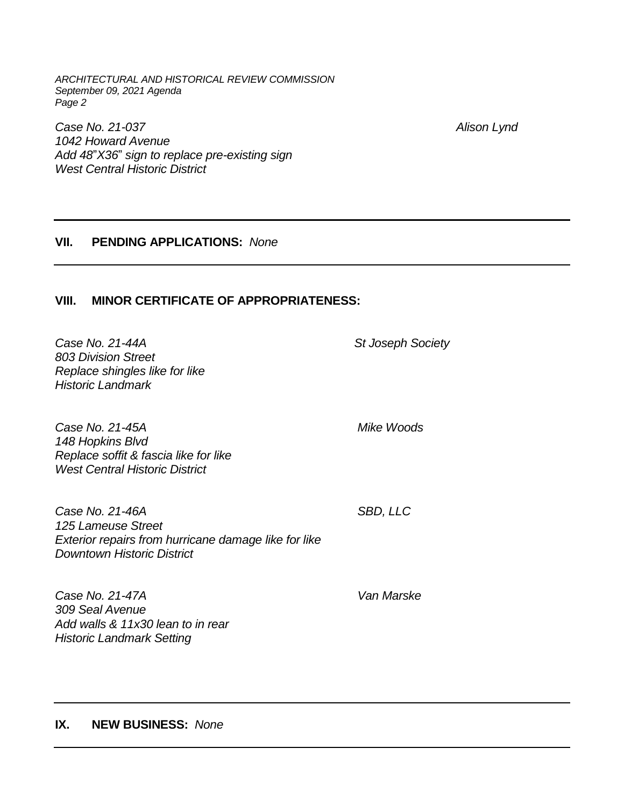ARCHITECTURAL AND HISTORICAL REVIEW COMMISSION September 09, 2021 Agenda Page 2

Case No. 21-037 Alison Lynd 1042 Howard Avenue Add 48"X36" sign to replace pre-existing sign West Central Historic District

### **VII. PENDING APPLICATIONS:** None

#### **VIII. MINOR CERTIFICATE OF APPROPRIATENESS:**

Case No. 21-44A St Joseph Society 803 Division Street Replace shingles like for like Historic Landmark

Case No. 21-45A Mike Woods 148 Hopkins Blvd Replace soffit & fascia like for like West Central Historic District

Case No. 21-46A SBD, LLC 125 Lameuse Street Exterior repairs from hurricane damage like for like Downtown Historic District

Case No. 21-47A Van Marske 309 Seal Avenue Add walls & 11x30 lean to in rear Historic Landmark Setting

**IX. NEW BUSINESS:** None